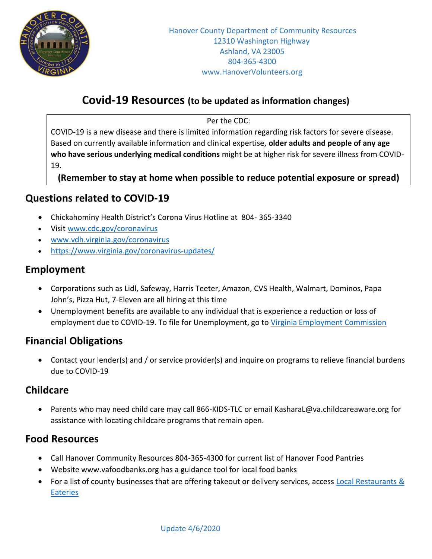

# **Covid-19 Resources (to be updated as information changes)**

Per the CDC:

COVID-19 is a new disease and there is limited information regarding risk factors for severe disease. Based on currently available information and clinical expertise, **older adults and people of any age who have serious underlying medical conditions** might be at higher risk for severe illness from COVID-19.

**(Remember to stay at home when possible to reduce potential exposure or spread)**

### **Questions related to COVID-19**

- Chickahominy Health District's Corona Virus Hotline at 804- 365-3340
- Visi[t www.cdc.gov/coronavirus](http://www.cdc.gov/coronavirus)
- [www.vdh.virginia.gov/coronavirus](http://www.vdh.virginia.gov/coronavirus)
- <https://www.virginia.gov/coronavirus-updates/>

### **Employment**

- Corporations such as Lidl, Safeway, Harris Teeter, Amazon, CVS Health, Walmart, Dominos, Papa John's, Pizza Hut, 7-Eleven are all hiring at this time
- Unemployment benefits are available to any individual that is experience a reduction or loss of employment due to COVID-19. To file for Unemployment, go to [Virginia Employment Commission](http://www.vec.virginia.gov/)

# **Financial Obligations**

 Contact your lender(s) and / or service provider(s) and inquire on programs to relieve financial burdens due to COVID-19

### **Childcare**

 Parents who may need child care may call 866-KIDS-TLC or email [KasharaL@va.childcareaware.org](mailto:KasharaL@va.childcareaware.org) for assistance with locating childcare programs that remain open.

# **Food Resources**

- Call Hanover Community Resources 804-365-4300 for current list of Hanover Food Pantries
- Website [www.vafoodbanks.org](http://www.vafoodbanks.org/) has a guidance tool for local food banks
- For a list of county businesses that are offering takeout or delivery services, access Local Restaurants & **[Eateries](https://www.hanovervirginia.com/explore-hanover/things-to-do/hanover-restaurants-breweries-wineries-coffee/)**